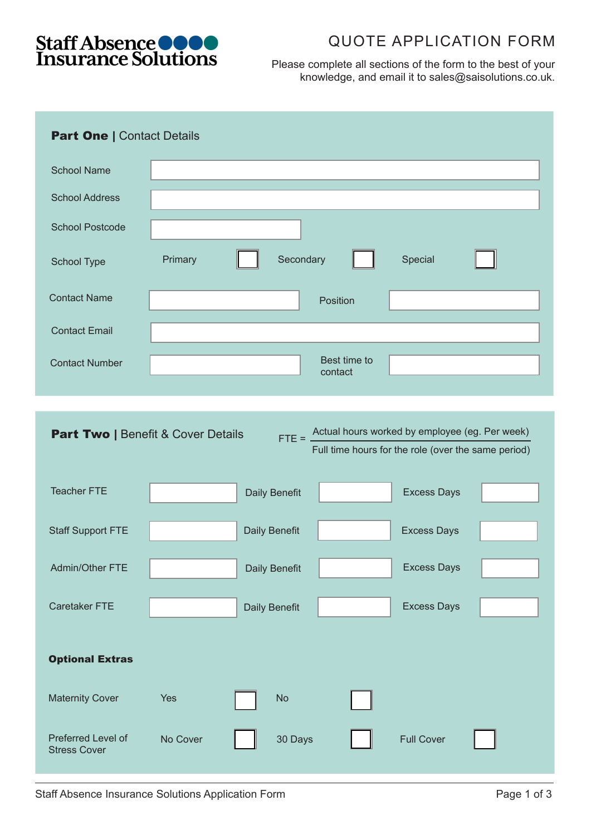

## QUOTE APPLICATION FORM

Please complete all sections of the form to the best of your knowledge, and email it to sales@saisolutions.co.uk.

| <b>Part One   Contact Details</b>                                                                                                                                   |          |                      |                         |                    |  |
|---------------------------------------------------------------------------------------------------------------------------------------------------------------------|----------|----------------------|-------------------------|--------------------|--|
| <b>School Name</b>                                                                                                                                                  |          |                      |                         |                    |  |
| <b>School Address</b>                                                                                                                                               |          |                      |                         |                    |  |
| <b>School Postcode</b>                                                                                                                                              |          |                      |                         |                    |  |
| School Type                                                                                                                                                         | Primary  | Secondary            |                         | Special            |  |
| <b>Contact Name</b>                                                                                                                                                 |          |                      | Position                |                    |  |
| <b>Contact Email</b>                                                                                                                                                |          |                      |                         |                    |  |
| <b>Contact Number</b>                                                                                                                                               |          |                      | Best time to<br>contact |                    |  |
|                                                                                                                                                                     |          |                      |                         |                    |  |
| Actual hours worked by employee (eg. Per week)<br><b>Part Two   Benefit &amp; Cover Details</b><br>$FTE = 2$<br>Full time hours for the role (over the same period) |          |                      |                         |                    |  |
| <b>Teacher FTE</b>                                                                                                                                                  |          | Daily Benefit        |                         | <b>Excess Days</b> |  |
| <b>Staff Support FTE</b>                                                                                                                                            |          | <b>Daily Benefit</b> |                         | <b>Excess Days</b> |  |
| Admin/Other FTE                                                                                                                                                     |          | <b>Daily Benefit</b> |                         | <b>Excess Days</b> |  |
| <b>Caretaker FTE</b>                                                                                                                                                |          | Daily Benefit        |                         | <b>Excess Days</b> |  |
| <b>Optional Extras</b>                                                                                                                                              |          |                      |                         |                    |  |
| <b>Maternity Cover</b>                                                                                                                                              | Yes      | <b>No</b>            |                         |                    |  |
| Preferred Level of<br><b>Stress Cover</b>                                                                                                                           | No Cover | 30 Days              |                         | <b>Full Cover</b>  |  |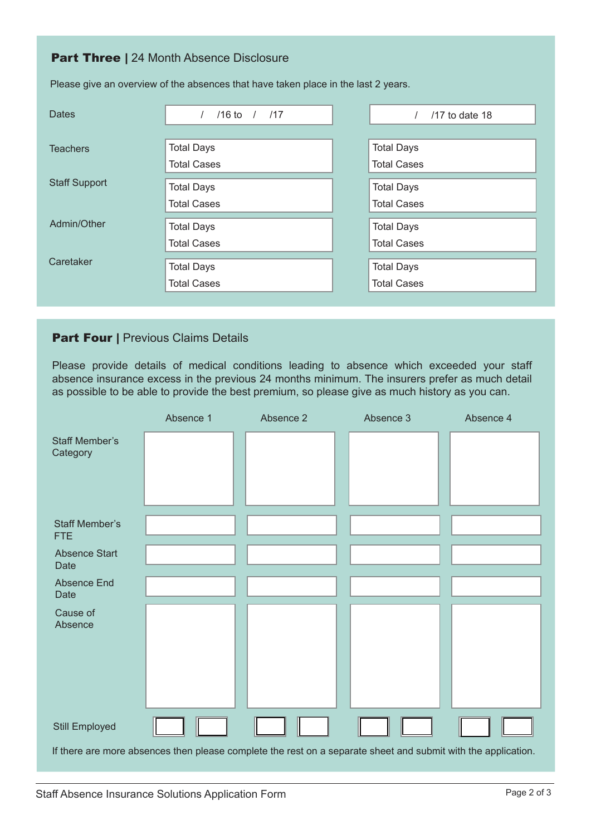## **Part Three | 24 Month Absence Disclosure**

| <b>Dates</b>         | $/16$ to $/$ $/17$ |  | $/17$ to date 18   |
|----------------------|--------------------|--|--------------------|
|                      |                    |  |                    |
| <b>Teachers</b>      | <b>Total Days</b>  |  | <b>Total Days</b>  |
|                      | <b>Total Cases</b> |  | <b>Total Cases</b> |
| <b>Staff Support</b> |                    |  |                    |
|                      | <b>Total Days</b>  |  | <b>Total Days</b>  |
|                      | <b>Total Cases</b> |  | <b>Total Cases</b> |
| Admin/Other          | <b>Total Days</b>  |  | <b>Total Days</b>  |
|                      | <b>Total Cases</b> |  | <b>Total Cases</b> |
|                      |                    |  |                    |
| Caretaker            | <b>Total Days</b>  |  | <b>Total Days</b>  |
|                      | <b>Total Cases</b> |  | <b>Total Cases</b> |
|                      |                    |  |                    |

Please give an overview of the absences that have taken place in the last 2 years.

## **Part Four | Previous Claims Details**

Please provide details of medical conditions leading to absence which exceeded your staff absence insurance excess in the previous 24 months minimum. The insurers prefer as much detail as possible to be able to provide the best premium, so please give as much history as you can.

|                                     | Absence 1 | Absence 2                                                                                                     | Absence 3 | Absence 4 |
|-------------------------------------|-----------|---------------------------------------------------------------------------------------------------------------|-----------|-----------|
| <b>Staff Member's</b><br>Category   |           |                                                                                                               |           |           |
| <b>Staff Member's</b><br><b>FTE</b> |           |                                                                                                               |           |           |
| Absence Start<br>Date               |           |                                                                                                               |           |           |
| <b>Absence End</b><br>Date          |           |                                                                                                               |           |           |
| Cause of<br>Absence                 |           |                                                                                                               |           |           |
| Still Employed                      |           |                                                                                                               |           |           |
|                                     |           | If there are more absences then please complete the rest on a separate sheet and submit with the application. |           |           |